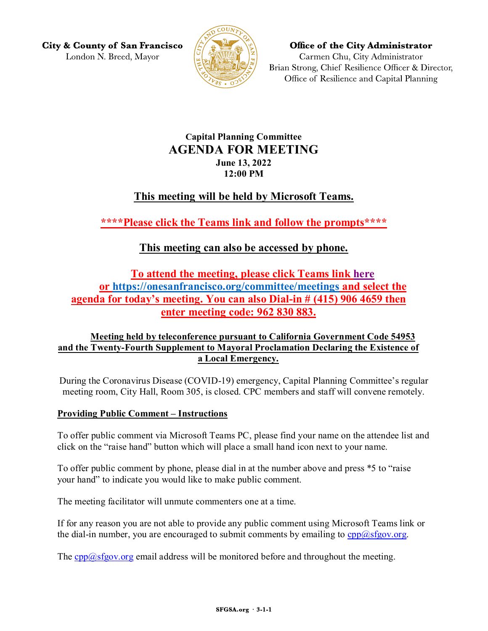**City & County of San Francisco** London N. Breed, Mayor



**Office of the City Administrator** Carmen Chu, City Administrator Brian Strong, Chief Resilience Officer & Director, Office of Resilience and Capital Planning

## **Capital Planning Committee AGENDA FOR MEETING June 13, 2022 12:00 PM**

# **This meeting will be held by Microsoft Teams.**

**\*\*\*\*Please click the Teams link and follow the prompts\*\*\*\***

# **This meeting can also be accessed by phone.**

**To attend the meeting, please click Teams link [here](https://teams.microsoft.com/l/meetup-join/19%3ameeting_OWM0NGQyMTQtY2YxMS00N2RjLWE3MWUtMjJhNmEzNWEwNzNk%40thread.v2/0?context=%7b%22Tid%22%3a%2222d5c2cf-ce3e-443d-9a7f-dfcc0231f73f%22%2c%22Oid%22%3a%22e6a17f24-0352-47b3-943d-645fcaffc687%22%7d) or<https://onesanfrancisco.org/committee/meetings> and select the agenda for today's meeting. You can also Dial-in # (415) 906 4659 then enter meeting code: 962 830 883.** 

### **Meeting held by teleconference pursuant to California Government Code 54953 and the Twenty-Fourth Supplement to Mayoral Proclamation Declaring the Existence of a Local Emergency.**

During the Coronavirus Disease (COVID-19) emergency, Capital Planning Committee's regular meeting room, City Hall, Room 305, is closed. CPC members and staff will convene remotely.

#### **Providing Public Comment – Instructions**

To offer public comment via Microsoft Teams PC, please find your name on the attendee list and click on the "raise hand" button which will place a small hand icon next to your name.

To offer public comment by phone, please dial in at the number above and press \*5 to "raise your hand" to indicate you would like to make public comment.

The meeting facilitator will unmute commenters one at a time.

If for any reason you are not able to provide any public comment using Microsoft Teams link or the dial-in number, you are encouraged to submit comments by emailing to  $cpp@sfgov.org$ .

The  $cpp@sfgov.org$  email address will be monitored before and throughout the meeting.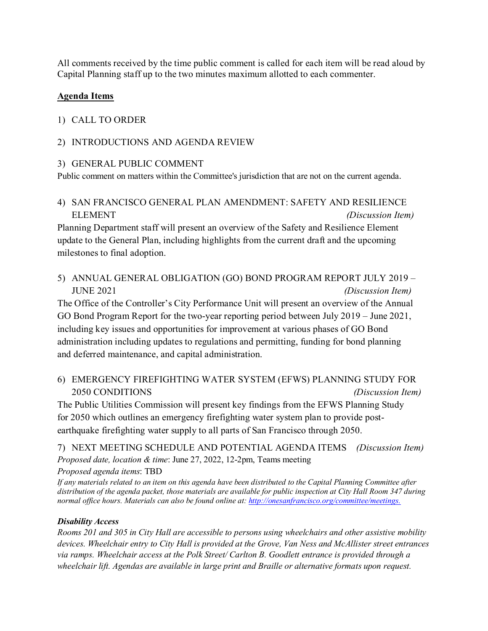All comments received by the time public comment is called for each item will be read aloud by Capital Planning staff up to the two minutes maximum allotted to each commenter.

### **Agenda Items**

### 1) CALL TO ORDER

### 2) INTRODUCTIONS AND AGENDA REVIEW

#### 3) GENERAL PUBLIC COMMENT

Public comment on matters within the Committee's jurisdiction that are not on the current agenda.

### 4) SAN FRANCISCO GENERAL PLAN AMENDMENT: SAFETY AND RESILIENCE ELEMENT *(Discussion Item)*

Planning Department staff will present an overview of the Safety and Resilience Element update to the General Plan, including highlights from the current draft and the upcoming milestones to final adoption.

5) ANNUAL GENERAL OBLIGATION (GO) BOND PROGRAM REPORT JULY 2019 – JUNE 2021 *(Discussion Item)*

The Office of the Controller's City Performance Unit will present an overview of the Annual GO Bond Program Report for the two-year reporting period between July 2019 – June 2021, including key issues and opportunities for improvement at various phases of GO Bond administration including updates to regulations and permitting, funding for bond planning and deferred maintenance, and capital administration.

## 6) EMERGENCY FIREFIGHTING WATER SYSTEM (EFWS) PLANNING STUDY FOR 2050 CONDITIONS *(Discussion Item)*

The Public Utilities Commission will present key findings from the EFWS Planning Study for 2050 which outlines an emergency firefighting water system plan to provide postearthquake firefighting water supply to all parts of San Francisco through 2050.

7) NEXT MEETING SCHEDULE AND POTENTIAL AGENDA ITEMS *(Discussion Item) Proposed date, location & time*: June 27, 2022, 12-2pm, Teams meeting *Proposed agenda items*: TBD

*If any materials related to an item on this agenda have been distributed to the Capital Planning Committee after distribution of the agenda packet, those materials are available for public inspection at City Hall Room 347 during normal office hours. Materials can also be found online at[: http://onesanfrancisco.org/committee/meetings.](http://onesanfrancisco.org/committee/meetings)* 

#### *Disability Access*

*Rooms 201 and 305 in City Hall are accessible to persons using wheelchairs and other assistive mobility devices. Wheelchair entry to City Hall is provided at the Grove, Van Ness and McAllister street entrances via ramps. Wheelchair access at the Polk Street/ Carlton B. Goodlett entrance is provided through a wheelchair lift. Agendas are available in large print and Braille or alternative formats upon request.*